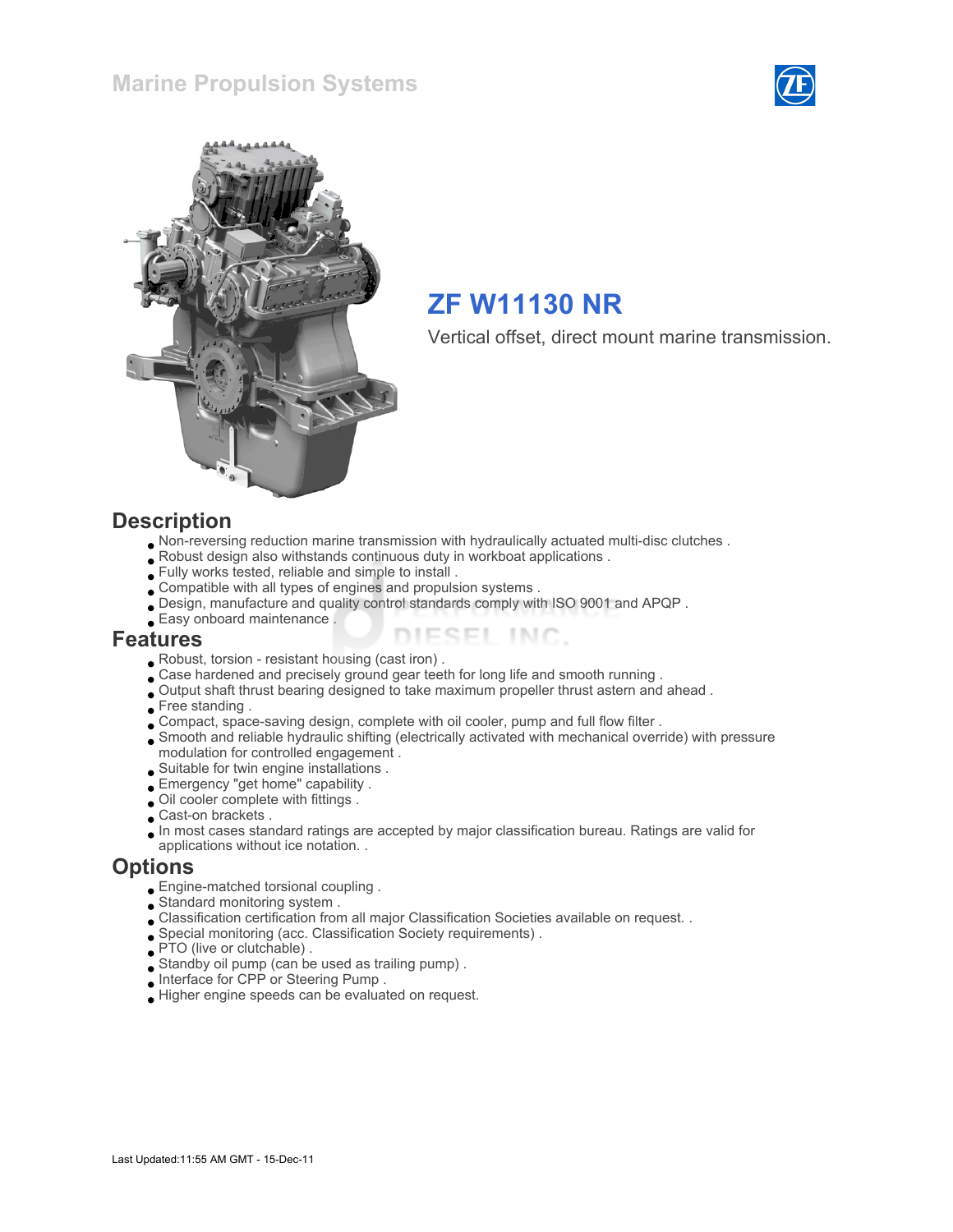



# ZF W11130 NR

Vertical offset, direct mount marine transmission.

#### **Description**

- Non-reversing reduction marine transmission with hydraulically actuated multi-disc clutches .
- Robust design also withstands continuous duty in workboat applications .
- Fully works tested, reliable and simple to install .
- Compatible with all types of engines and propulsion systems .
- Design, manufacture and quality control standards comply with ISO 9001 and APQP .
- Easy onboard maintenance .

#### Features

- Robust, torsion resistant housing (cast iron) .
- Case hardened and precisely ground gear teeth for long life and smooth running .
- Output shaft thrust bearing designed to take maximum propeller thrust astern and ahead .
- Free standing .
- Compact, space-saving design, complete with oil cooler, pump and full flow filter .
- Smooth and reliable hydraulic shifting (electrically activated with mechanical override) with pressure modulation for controlled engagement .

ESEL INC.

- Suitable for twin engine installations .
- Emergency "get home" capability .
- Oil cooler complete with fittings .
- Cast-on brackets .
- In most cases standard ratings are accepted by major classification bureau. Ratings are valid for applications without ice notation. .

#### **Options**

- Engine-matched torsional coupling .
- Standard monitoring system .
- Classification certification from all major Classification Societies available on request. .
- Special monitoring (acc. Classification Society requirements) .
- **PTO** (live or clutchable).
- Standby oil pump (can be used as trailing pump) .
- Interface for CPP or Steering Pump .
- Higher engine speeds can be evaluated on request.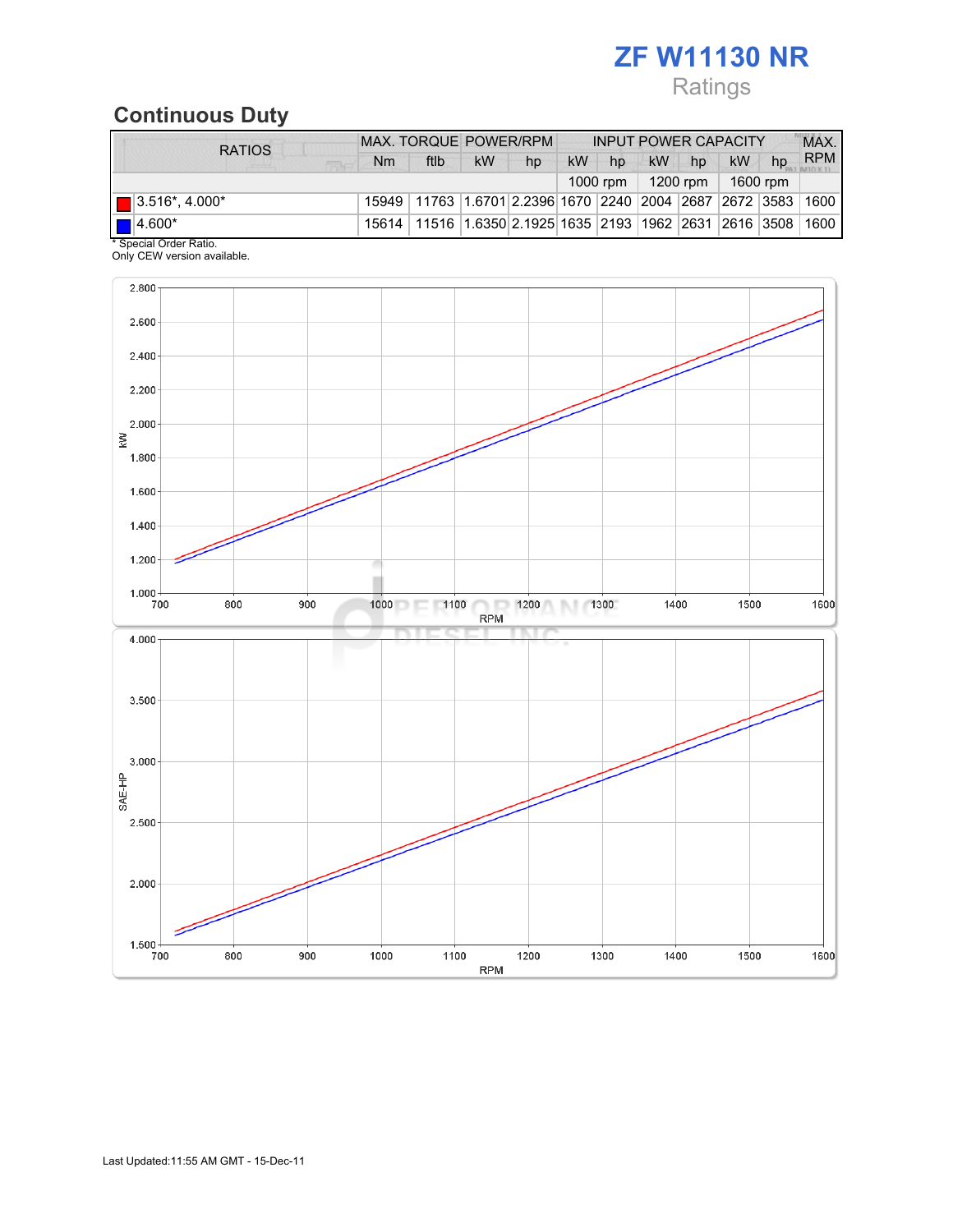# ZF W11130 NR

# Ratings

# Continuous Duty

| <b>RATIOS</b>                     | <b>MAX. TORQUE POWER/RPM</b> |                                                                                  |           | <b>INPUT POWER CAPACITY</b> |    |    |           |    | MAX. |    |            |
|-----------------------------------|------------------------------|----------------------------------------------------------------------------------|-----------|-----------------------------|----|----|-----------|----|------|----|------------|
| <b>SEEBU</b>                      | Nm                           | ftlb                                                                             | <b>kW</b> | hp                          | kW | hp | <b>kW</b> | hp | kW   | hp | <b>RPM</b> |
| 1200 rpm   1600 rpm<br>$1000$ rpm |                              |                                                                                  |           |                             |    |    |           |    |      |    |            |
| $\blacksquare$ 3.516*, 4.000*     |                              | 15949   11763   1.6701   2.2396   1670   2240   2004   2687   2672   3583   1600 |           |                             |    |    |           |    |      |    |            |
| $\blacksquare$ 4.600*             |                              | 15614   11516   1.6350   2.1925   1635   2193   1962   2631   2616   3508   1600 |           |                             |    |    |           |    |      |    |            |
| * Special Order Ratio.            |                              |                                                                                  |           |                             |    |    |           |    |      |    |            |

Only CEW version available.

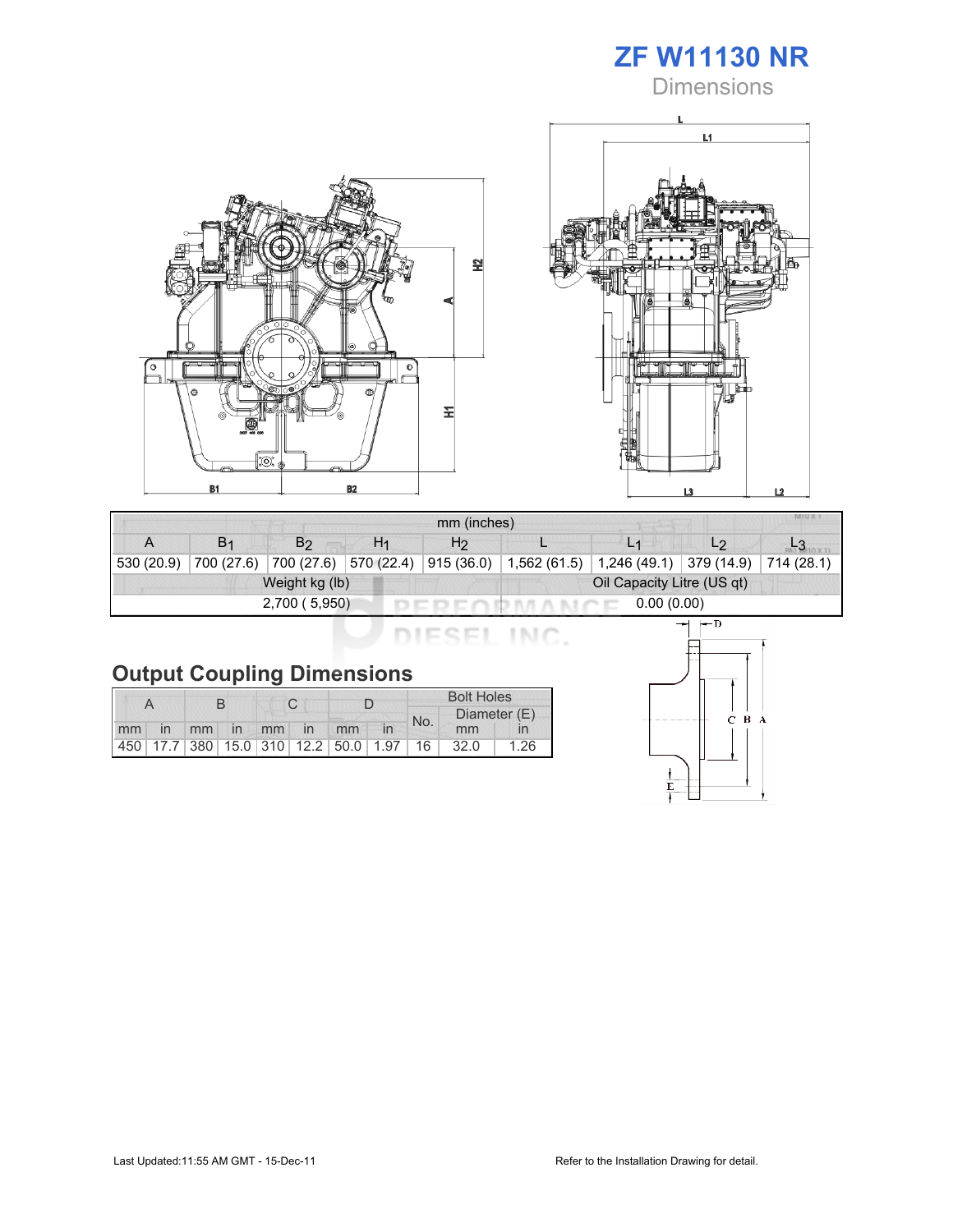

**Dimensions** 





| mm (inches)    |                |                       |                |                |                            |                                                        |                |  |  |  |
|----------------|----------------|-----------------------|----------------|----------------|----------------------------|--------------------------------------------------------|----------------|--|--|--|
|                | B <sub>1</sub> | B <sub>2</sub>        | H <sub>1</sub> | H <sub>2</sub> |                            | L <sub>1</sub>                                         | L <sub>2</sub> |  |  |  |
| 530 (20.9)     | 700 (27.6)     | 700 (27.6) 570 (22.4) |                | 915 (36.0)     |                            | $1,562(61.5)$   1,246 (49.1)   379 (14.9)   714 (28.1) |                |  |  |  |
| Weight kg (lb) |                |                       |                |                | Oil Capacity Litre (US qt) |                                                        |                |  |  |  |
|                |                | 2,700 (5,950)         |                | 0.00(0.00)     |                            |                                                        |                |  |  |  |

DIESEL INC.

| <b>Output Coupling Dimensions</b> |  |
|-----------------------------------|--|
|-----------------------------------|--|

|    |                |  |  |  |             |                                         |     | <b>Bolt Holes</b> |      |      |  |
|----|----------------|--|--|--|-------------|-----------------------------------------|-----|-------------------|------|------|--|
|    |                |  |  |  |             |                                         | No. | Diameter (E)      |      |      |  |
| mm | $\overline{m}$ |  |  |  | mm in mm in | mm                                      |     |                   | mm   |      |  |
|    |                |  |  |  |             | 450 17.7 380 15.0 310 12.2 50.0 1.97 16 |     |                   | 32.0 | 1.26 |  |